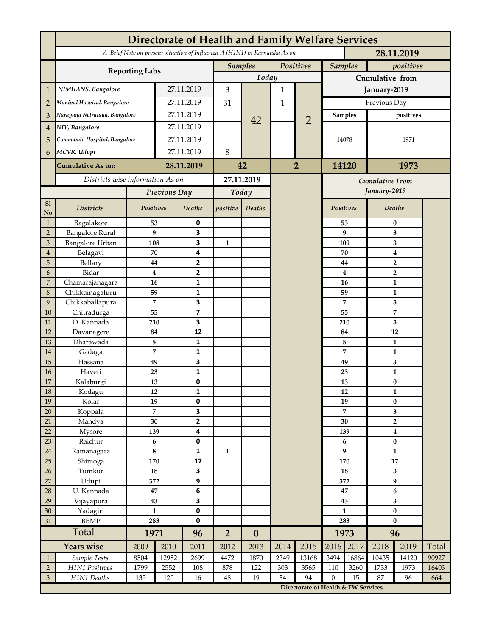|                                     | Directorate of Health and Family Welfare Services |                              |             |                         |                                                                            |                  |           |                             |                         |                  |                                  |                               |              |  |
|-------------------------------------|---------------------------------------------------|------------------------------|-------------|-------------------------|----------------------------------------------------------------------------|------------------|-----------|-----------------------------|-------------------------|------------------|----------------------------------|-------------------------------|--------------|--|
|                                     |                                                   |                              |             |                         | A Brief Note on present situation of Influenza-A (H1N1) in Karnataka As on |                  |           |                             | 28.11.2019              |                  |                                  |                               |              |  |
|                                     |                                                   |                              |             |                         | Positives<br><b>Samples</b>                                                |                  |           | <b>Samples</b><br>positives |                         |                  |                                  |                               |              |  |
|                                     | <b>Reporting Labs</b>                             |                              |             |                         | Today                                                                      |                  |           |                             | Cumulative from         |                  |                                  |                               |              |  |
| $\mathbf{1}$                        | NIMHANS, Bangalore                                | 27.11.2019                   |             | 3                       |                                                                            | 1                |           | January-2019                |                         |                  |                                  |                               |              |  |
| $\overline{2}$                      | Manipal Hospital, Bangalore                       |                              | 27.11.2019  |                         | 31                                                                         |                  | 1         |                             | Previous Day            |                  |                                  |                               |              |  |
| 3                                   | Narayana Netralaya, Bangalore                     |                              |             | 27.11.2019              |                                                                            |                  |           | $\overline{2}$              |                         | Samples          |                                  |                               |              |  |
| $\overline{4}$                      | NIV, Bangalore                                    |                              |             | 27.11.2019              |                                                                            | 42               |           |                             |                         |                  | positives                        |                               |              |  |
| 5                                   |                                                   | Commando Hospital, Bangalore |             | 27.11.2019              |                                                                            |                  |           |                             | 14078                   |                  |                                  | 1971                          |              |  |
|                                     | MCVR, Udupi                                       |                              | 27.11.2019  |                         | 8                                                                          |                  |           |                             |                         |                  |                                  |                               |              |  |
| 6                                   |                                                   |                              |             |                         |                                                                            |                  |           |                             |                         |                  |                                  |                               |              |  |
|                                     | <b>Cumulative As on:</b>                          | 28.11.2019                   |             | 42                      |                                                                            | $\overline{2}$   |           | 14120<br>1973               |                         |                  |                                  |                               |              |  |
|                                     | Districts wise information As on                  |                              |             | 27.11.2019              |                                                                            |                  |           | <b>Cumulative From</b>      |                         |                  |                                  |                               |              |  |
|                                     |                                                   | Previous Day                 |             | Today                   |                                                                            |                  |           |                             |                         | January-2019     |                                  |                               |              |  |
| <b>S1</b><br>$\mathbf{N}\mathbf{o}$ | <b>Districts</b>                                  | Positives                    |             | Deaths                  | positive                                                                   | Deaths           |           |                             | <b>Positives</b>        |                  |                                  | Deaths                        |              |  |
| $\mathbf{1}$                        | Bagalakote                                        | 53                           |             | 0                       |                                                                            |                  |           |                             |                         | 53               | $\bf{0}$                         |                               |              |  |
| $\overline{2}$                      | <b>Bangalore Rural</b>                            | 9                            |             | $\overline{\mathbf{3}}$ |                                                                            |                  |           |                             |                         | 9                | 3                                |                               |              |  |
| $\mathfrak{Z}$                      | <b>Bangalore Urban</b>                            | 108                          |             | 3                       | $\mathbf{1}$                                                               |                  |           |                             | 109                     |                  |                                  | 3                             |              |  |
| $\overline{4}$<br>5                 | Belagavi<br>Bellary                               | 70<br>44                     |             | 4<br>$\overline{2}$     |                                                                            |                  |           |                             |                         | 70<br>44         | $\bf{4}$                         |                               |              |  |
| 6                                   | Bidar                                             | $\overline{\mathbf{4}}$      |             | $\overline{2}$          |                                                                            |                  |           |                             |                         | $\boldsymbol{4}$ | $\overline{2}$<br>$\overline{2}$ |                               |              |  |
| $\overline{7}$                      | Chamarajanagara                                   | 16                           |             | 1                       |                                                                            |                  |           |                             |                         | 16               |                                  | $\mathbf{1}$                  |              |  |
| 8                                   | Chikkamagaluru                                    | 59                           |             | 1                       |                                                                            |                  |           |                             |                         | 59               |                                  | $\mathbf{1}$                  |              |  |
| $\boldsymbol{9}$                    | Chikkaballapura                                   | 7                            |             | 3                       |                                                                            |                  |           |                             |                         | 7                |                                  | 3                             |              |  |
| 10                                  | Chitradurga                                       | 55                           |             | $\overline{\mathbf{z}}$ |                                                                            |                  |           |                             | 55                      |                  |                                  | $\overline{7}$                |              |  |
| 11                                  | D. Kannada                                        | 210                          |             | 3                       |                                                                            |                  |           |                             | 210                     |                  |                                  | 3                             |              |  |
| 12                                  | Davanagere                                        | 84                           |             | 12                      |                                                                            |                  |           |                             |                         | 84               |                                  | 12                            |              |  |
| 13                                  | Dharawada                                         | 5                            |             | $\mathbf{1}$            |                                                                            |                  |           |                             |                         | 5                |                                  | $\mathbf{1}$                  |              |  |
| 14<br>15                            | Gadaga                                            | $\overline{7}$<br>49         |             | $\mathbf{1}$<br>3       |                                                                            |                  |           |                             |                         | 7<br>49          |                                  | $\mathbf{1}$                  |              |  |
| 16                                  | Hassana<br>Haveri                                 | 23                           |             | $\mathbf{1}$            |                                                                            |                  |           |                             |                         | 23               | 3<br>$\mathbf{1}$                |                               |              |  |
| 17                                  | Kalaburgi                                         | 13                           |             | 0                       |                                                                            |                  |           |                             |                         | 13               | $\bf{0}$                         |                               |              |  |
| 18                                  | Kodagu                                            | 12                           |             | $\mathbf 1$             |                                                                            |                  |           |                             |                         | 12               |                                  | 1                             |              |  |
| 19                                  | Kolar                                             | 19                           |             | 0                       |                                                                            |                  |           |                             |                         | 19               |                                  | $\bf{0}$                      |              |  |
| 20                                  | Koppala                                           | 7                            |             | 3                       |                                                                            |                  |           |                             |                         | 7                | 3                                |                               |              |  |
| 21                                  | Mandya                                            | 30                           |             | $\mathbf{2}$            |                                                                            |                  |           |                             | 30                      |                  | $\overline{2}$                   |                               |              |  |
| 22                                  | Mysore                                            | 139                          |             | 4                       |                                                                            |                  |           |                             |                         | 139<br>6         |                                  | $\boldsymbol{4}$<br>$\pmb{0}$ |              |  |
| 23<br>24                            | Raichur<br>Ramanagara                             | 6<br>$\bf 8$                 |             | 0<br>$\mathbf{1}$       | 1                                                                          |                  |           |                             |                         | 9                |                                  | $\mathbf{1}$                  |              |  |
| 25                                  | Shimoga                                           | 170                          |             | 17                      |                                                                            |                  |           |                             | 170                     |                  | ${\bf 17}$                       |                               |              |  |
| 26                                  | Tumkur                                            | 18                           |             | 3                       |                                                                            |                  |           |                             | 18                      |                  | 3                                |                               |              |  |
| 27                                  | Udupi                                             | 372                          |             | 9                       |                                                                            |                  |           |                             | 372                     |                  | $\boldsymbol{9}$                 |                               |              |  |
| 28                                  | U. Kannada                                        | 47                           |             | 6                       |                                                                            |                  |           |                             | 47                      |                  | $\boldsymbol{6}$                 |                               |              |  |
| 29                                  | Vijayapura                                        | 43                           |             | 3                       |                                                                            |                  |           |                             |                         | 43               |                                  | 3                             |              |  |
| 30                                  | Yadagiri                                          | $\mathbf{1}$                 |             | 0                       |                                                                            |                  |           |                             | $\mathbf{1}$            |                  | $\bf{0}$                         |                               |              |  |
| 31                                  | <b>BBMP</b>                                       | 283                          |             | $\pmb{0}$               |                                                                            |                  |           |                             | 283                     |                  | $\bf{0}$                         |                               |              |  |
|                                     | Total                                             | 1971                         |             | 96                      | $\overline{2}$                                                             | $\boldsymbol{0}$ |           |                             | 1973                    |                  | 96                               |                               |              |  |
|                                     | <b>Years wise</b>                                 | 2009                         | 2010        | 2011                    | 2012                                                                       | 2013             | 2014      | 2015                        | 2016                    | 2017             | 2018                             | 2019                          | Total        |  |
| $\mathbf{1}$<br>$\overline{2}$      | Sample Tests<br>H1N1 Positives                    | 8504<br>1799                 | 12952       | 2699                    | 4472                                                                       | 1870             | 2349      | 13168                       | 3494                    | 16864            | 10435                            | 14120<br>1973                 | 90927        |  |
| $\ensuremath{\mathsf{3}}$           | H1N1 Deaths                                       | 135                          | 2552<br>120 | 108<br>16               | 878<br>$\rm 48$                                                            | 122<br>19        | 303<br>34 | 3565<br>94                  | 110<br>$\boldsymbol{0}$ | 3260<br>15       | 1733<br>87                       | 96                            | 16403<br>664 |  |
|                                     |                                                   |                              |             |                         | Directorate of Health & FW Services.                                       |                  |           |                             |                         |                  |                                  |                               |              |  |
|                                     |                                                   |                              |             |                         |                                                                            |                  |           |                             |                         |                  |                                  |                               |              |  |